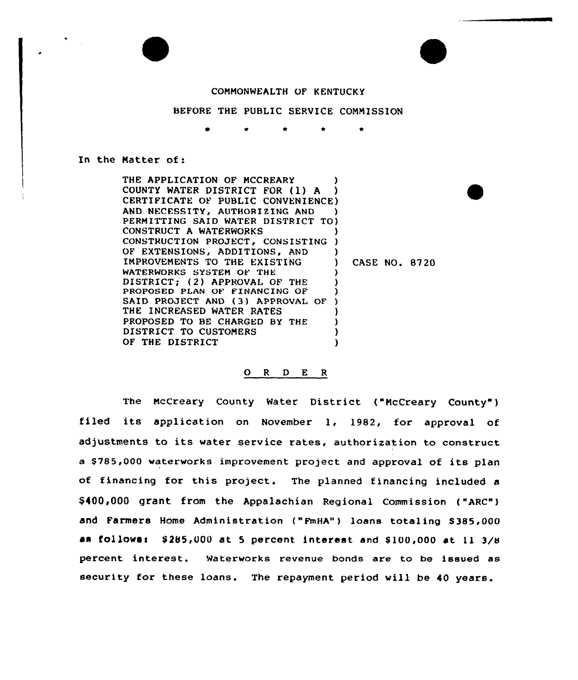

#### COMMONWEALTH OF KENTUCKY

## BEFORE THE PUBLIC SERVICE COMMISSION

#### In the Natter of:

THE APPLICATION OF MCCREARY COUNTY WATER DISTRICT FOR (l) <sup>A</sup> ) CERTIFICATE OF PUBLIC CONVENIENCE) AND NECESSITY, AUTHORIZING AND PERMITTING SAID WATER DISTRICT TO} CONSTRUCT A WATERWORKS CONSTRUCTION PROJECT, CONSISTING ) OF EXTENSIONS, ADDITIONS, AND )<br>IMPROVEMENTS TO THE EXISTING ) IMPROVEMENTS TO THE EXISTING ) WATERWORKS SYSTEM OF THE DISTRICT: (2) APPROVAL OF THE PROPOSED PLAN OF FINANCING OF SAID PROJECT AND (3) APPROVAL OF ) THE INCREASED WATER RATES PROPOSED TO BE CHARGED BY THE DISTRICT TO CUSTOMERS OF THE DISTRICT CASE NO. 8720

### 0 <sup>R</sup> <sup>D</sup> <sup>E</sup> <sup>R</sup>

The McCreary County Water District {"NcCreary County" ) filed its application on November 1, 1982, for approval of adjustments to its water service rates, authorization to construct <sup>a</sup> \$ 785,000 waterworks improvement project and approval of its plan of financing for this project. The planned financing included a \$400,000 grant from the Appalachian Regional commission ( "ARc" ) and Farmers Home Administration ("FmHA") loans totaling \$385,000 as follows:  $$285,000$  at 5 percent interest and  $$100,000$  at 11  $3/8$ percent interest. waterworks revenue bonds are to be issued as security for these loans. The repayment period will be 40 years.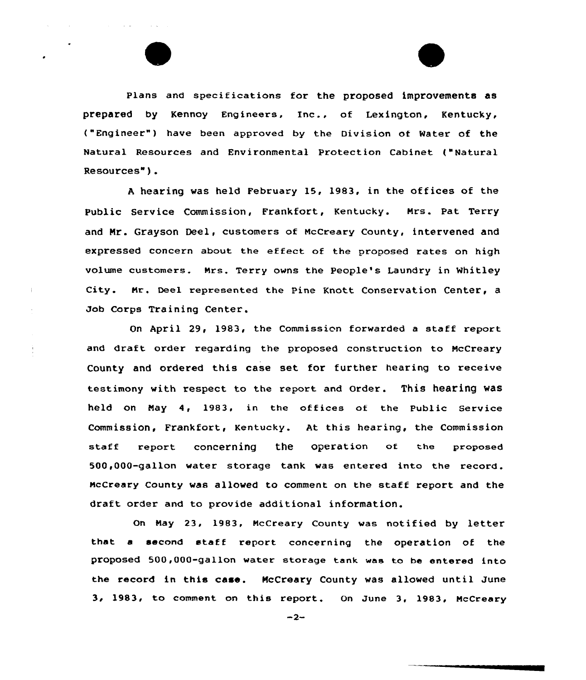plans and specifications for the proposed improvements as prepared by Kennoy Engineers, Inc., of Lexington, Kentucky, ("Engineer") have been approved by the Division of Water of the Natural Resources and Environmental Protection Cabinet ("Natural Resources" ).

<sup>A</sup> hearing was held February 15, 1983, in the offices of the Public Sexvice Commission, Fxankfoxt, Kentucky. Mrs. Pat Terxy and Nr. Grayson Decl, customers of NcCreary County, intervened and expressed concern about the effect of the proposed rates on high volume customers. Mrs. Terry owns the People's Laundry in Whitley city. Hr. Decl represented the pine Knott Conservation Center, <sup>a</sup> Job Corps Training Center.

On April 29, 1983, the Commissien forwarded <sup>a</sup> staff report and draft order regarding the proposed construction to McCreary County and ordered this case set for further hearing to receive testimony with respect to the report and Order. This hearing was held on Nay 4, 1983. in the offices ot the Public Service Commission, Frankfort, Kentucky. At this hearing, the Commission staff report concerning the operation of the propose 500,000-gallon watex storage tank was entered into the record. mcCreary County was allowed to comment on the staff report and the draft order and to provide additional information.

On May 23, 1983, McCreary County was notified by letter that a second staff report concerning the operation of the proposed 500,000-gallon water storage tank was to ba entered into the record in this case. NcCreary County was allowed until June 3, 1983, to comment on this report. On June 3, 1983, McCreary

 $-2-$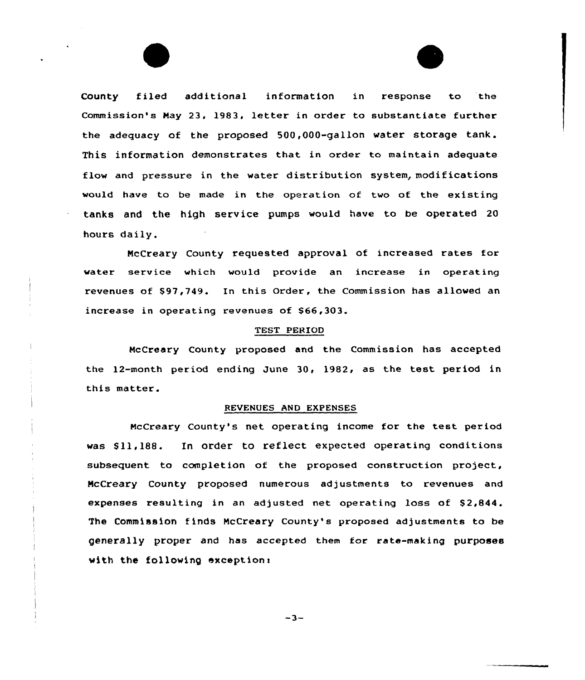County f iled additional information in response to the Commission's May 23, 1983, letter in order to substantiate further the adequacy of the proposed 500,000-gallon water storage tank. This information demonstrates that in order to maintain adequate flow and pressure in the water distribution system, modifications would have to be made in the operation of two of the existing tanks and the high service pumps would have to be operated 20 hours daily.

NcCreary County requested approval of increased rates for water service which would provide an increase in operating revenues of \$97,749. In this Order, the Commission has allowed an increase in operating revenues of \$66,303.

## TEST PERIOD

HcCreary County proposed and the Commission has accepted the 12-month period ending June 30, 1982, as the test period in this matter.

### REVENUES AND EXPENSES

HcCreary County's net operating income for the test period was \$11,188. In order to reflect expected operating conditions subsequent to completion of the proposed construction project, NcCreary County proposed numerous adjustments to revenues and expenses resulting in an adjusted net operating loss of \$2,844. The Commission f inds NcCreary County's proposed adjustments to be generally proper and has accepted them for rate-making purposes with the following exception:

 $-3-$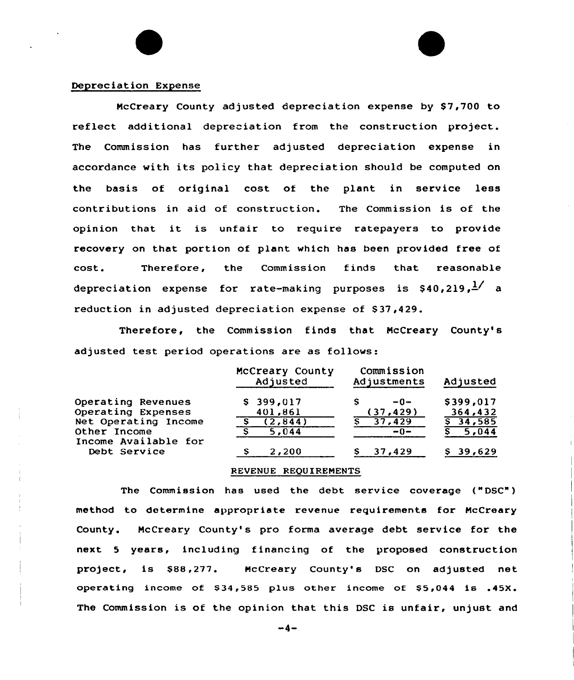### Depreciation Expense

McCreary County adjusted depreciation expense by \$7,700 to reflect additional depreciation from the construction project. The Commission has further adjusted depreciation expense in accordance with its policy that depreciation should be computed on the basis of original cost of the plant in service less contributions in aid of construction. The Commission is of the opinion that it is unfair to require ratepayers to provide recovery on that portion of plant which has been provided free of cost. Therefore, the Commission finds that reasonabl depreciation expense for rate-making purposes is \$40,219, $^{\frac{1}{2} \checkmark}$  a reduction in adjusted depreciation expense of \$ 37,429.

Therefore, the Commission finds that McCreary County's adjusted test period operations are as follows:

|                                      | McCreary County<br>Adjusted | Commission<br>Adjustments | Adjusted    |
|--------------------------------------|-----------------------------|---------------------------|-------------|
| Operating Revenues                   | $S$ 399,017                 | $-0-$                     | \$399,017   |
| Operating Expenses                   | 401,861                     | (37, 429)                 | 364,432     |
| Net Operating Income                 | (2,844)                     | 37,429                    | $5\,34,585$ |
| Other Income<br>Income Available for | 5,044                       | $-0-$                     | 5,044       |
| Debt Service                         | 2,200                       | 37,429                    | \$39,629    |

#### REVENUE REQUIREMENTS

The Commission has used the debt service coverage ("DSC") method to determine appropriate revenue requirements for McCreary County. McCreary County's pro forma average debt service for the next 5 years, including financing of the proposed construction project, is \$88,277. McCreary County's DSC on adjusted net operating income of \$34,585 plus other income of \$5,044 is .45X. The Commission is of the opinion that this DSC is unfair, unjust and

 $-4-$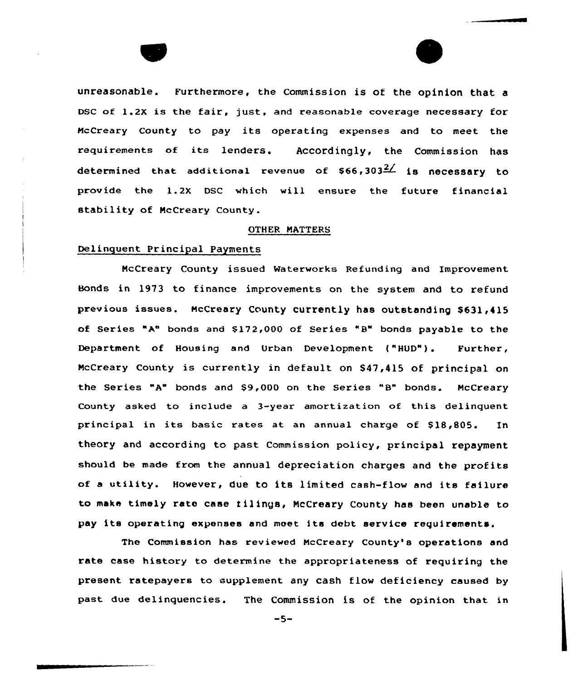unreasonable. Furthermore, the Commission is of the opinion that a DSC of 1.2X is the fair, just, and reasonable coverage necessary for McCreary County to pay its operating expenses and to meet the requirements of its lenders. Accordingly, the Commission has determined that additional revenue of  $$66,303<sup>2</sup>$  is necessary to provide the 1.2K DSC which will ensure the future financial stability of McCreary County.

### OTHER MATTERS

## Delinquent Principal Payments

NcCreary County issued Waterworks Refunding and Improvement Bonds in 1973 to finance improvements on the system and to refund previous issues. McCreary County currently has outstanding \$631,415 of Series "A" bonds and  $$172,000$  of Series "B" bonds payable to the Department of Housing and Urban Development ("HUD"). Further, McCreary County is currently in default on \$47,415 of principal on the Series "A" bonds and \$9,000 on the Series "8" bonds. McCreary County asked to include a 3-year amortization of this delinquent principal in its basic rates at an annual charge of S18,805. In theory and according to past Commission policy, principal repayment should be made from the annual depreciation charges and the profits of <sup>a</sup> utility. However, due to its limited cash-flow and its failure to make timely rate case <sup>f</sup> il ings, NcCreary County has been unable to pay its operating expenses and meet its debt service requirements.

The Commission has reviewed NcCreary County's operations and rate case history to determine the appropriateness of requiring the present. ratepayers to supplement any cash flow deficiency caused by past due delinquencies. The Commission is of the opinion that in

 $-5-$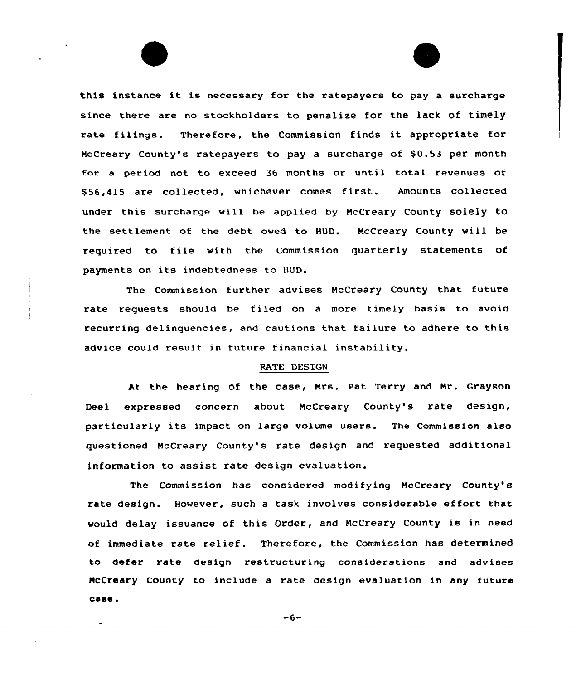

this instance it is necessary for the ratepayers to pay <sup>a</sup> surcharge since there are no stockholders to penalize for the lack of timely rate filings. Therefore, the Commission finds it appropriate for McCreary County's ratepayers to pay a surcharge of \$0.53 per month for a period not to exceed 36 months or until total revenues of \$ 56,415 are collected, whichever comes first. Amounts collected under this surcharge will be applied by NcCreary County solely to the settlement of the debt owed to BUD. NcCreary County will be required to file with the Commission quarterly statements of payments on its indebtedness to HUD.

The Commission further advises NcCreary County that future rate requests should be filed on a more timely basis to avoid recurring delinquencies, and cautions that failure to adhere to this advice could result in future financial instability.

### RATE DESIGN

At the hearing of the case, Nrs. Pat Terry and Nr. Grayson Decl expressed concern about McCreary County's rate design, particularly its impact on large volume users. The Commission also questioned NcCreary County's rate design and requested additional information to assist rate design evaluation.

The Commission has considered modifying NcCreary County's rate design. However, such a task involves considerable effort that would delay issuance of this Order, and NcCreary County is in need of immediate rate relief. Therefore, the Commission has determined to defer rate design restructuring considerations and advises NCCreary County to include a rate design evaluation in any future case.

 $-6-$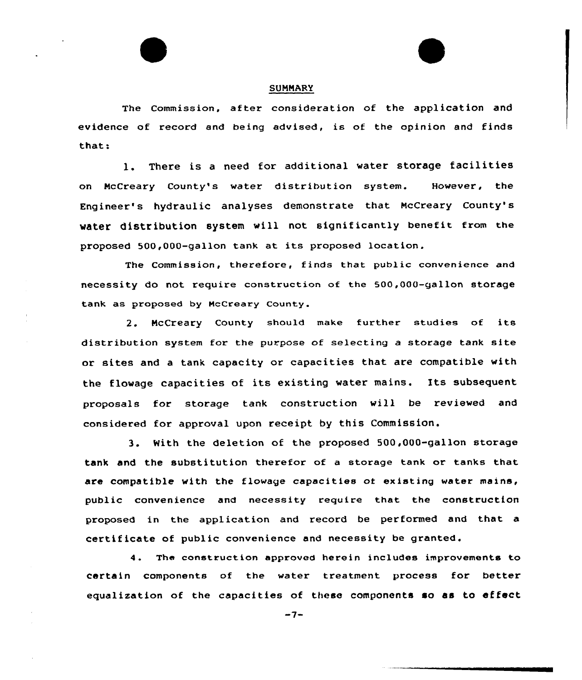### SUMMARY

The Commission, after consideration of the application and evidence of record and being advised, is of the opinion and finds that:

1. There is <sup>a</sup> need for additional water storage facilities on NcCreary County's water distribution system. However, the Engineer's hydraulic analyses demonstrate that NcCreary County's water distribution system will not significantly benefit from the proposed 500,000-gallon tank at its proposed location.

The Commission, therefore, finds that public convenience and necessity do not require construction of the 500,000-gallon storage tank as proposed by NcCreary county.

2. HcCreary County should make further studies of its distribution system for the purpose of selecting <sup>a</sup> storage tank site or sites and a tank capacity or capacities that are compatible with the flowage capacities ot its existing water mains. Its subsequent proposals for storage tank construction wil) be reviewed and considered for approval upon receipt by this Commission.

3. With the deletion of the proposed 500,000-gallon storage tank and the substitution therefor of a storage tank or tanks that are compatible with the flowage capacities of existing water mains, public convenience and necessity require that the construction proposed in the application and record be performed and that a certificate of public convenience and necessity be granted.

4. The construction approved herein includes improvements to certain components of the water treatment process for better equalization of the capacities of these components so as to effect

 $-7-$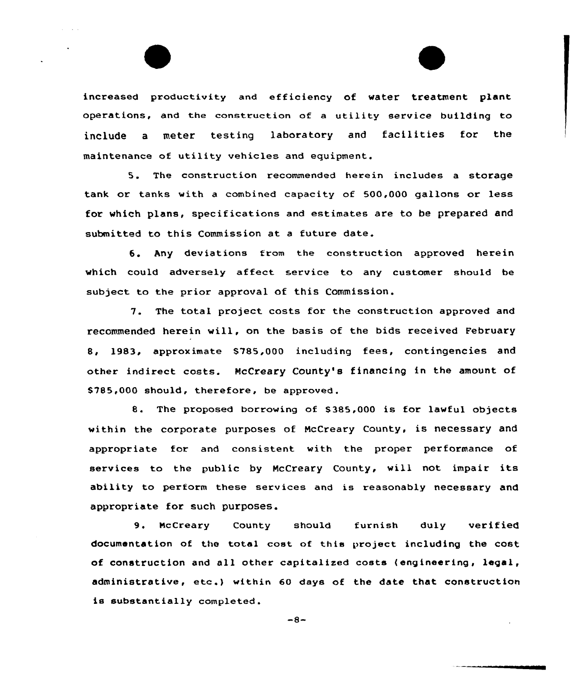increased productivity and efficiency of water treatment plant operations, and the construction of a utility service building to include <sup>a</sup> meter testing laboratory and facilities fox the maintenance of utility vehicles and equipment.

5. The construction recommended herein includes <sup>a</sup> storage tank or tanks with a combined capacity of 500,000 gallons or less for which plans, specifications and estimates are to be prepared and submitted to this Commission at a future date.

5, Any deviations from the construction appxoved herein which could adversely affect service to any customer should be subject to the prior approval of this Commission.

7. The total project costs for the construction approved and recommended herein will, on the basis of the bids received February 8, 1983, approximate \$785,000 including fees, contingencies and other indirect costs. NcCreary County's financing in the amount of 8785,000 should, therefore, be approved.

8. The proposed borrowing of \$385,000 is for lawful objects within the corporate purposes of NcCreary County, is necessary and appropriate for and consistent with the proper performance of services to the public by NcCreary County, will not impair its ability to perform these services and is reasonably necessary and appropriate for such purposes.

9. McCreary County should furnish duly ve<mark>rifie</mark> documentation of the total cost of this project including the cost of construction and all other capitalized costs (engineering, legal, administrative, etc.) within 60 days of the date that construction is substantially completed.

 $-8-$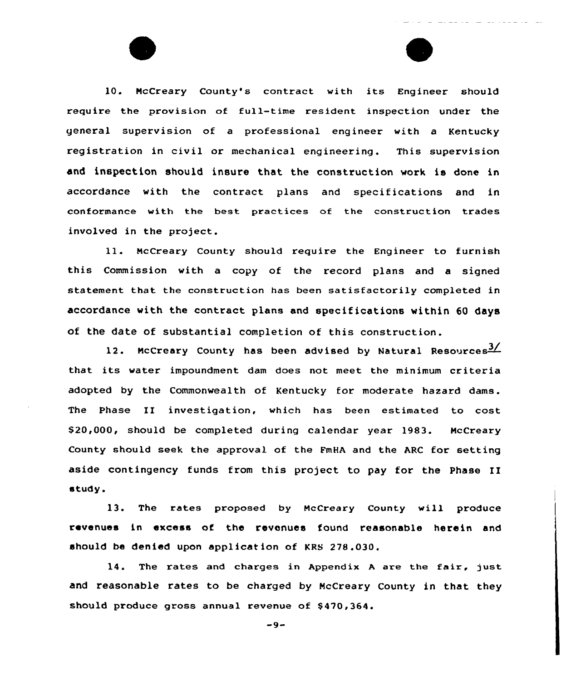10. McCreary County's contract with its Engineer should require the provision of full-time resident inspection under the general supervision of a professional engineer with a Kentucky registration in civil or mechanical engineering. This supervision and inspection should insure that the construction work is done in accordance with the contract plans and specifications and in conformance with the best practices of the construction trades involved in the project.

11. McCreary County should require the Engineer to furnish this Commission with a copy of the record plans and a signed statement that the construction has been satisfactorily completed in accordance with the contract plans and specifications within 60 days of the date of substantial completion of this construction.

12. McCreary County has been advised by Natural Resources<sup>3</sup>/ that its water impoundment dam does not meet the minimum criteria adopted by the Commonwealth of Kentucky for moderate hazard dams. The phase II investigation, which has been estimated to cost 520,000, should be completed during calendar year 1983. McCreary County should seek the approval of the FmHA and the ARC for setting aside contingency funds from this project to pay for the Phase II «tudy.

13. The rates proposed by McCreary County will produce revenues in excess of the revenues found reasonable herein and should be denied upon application of KRS 278.030.

 $14.$  The rates and charges in Appendix A are the fair, just and reasonable rates to be charged by McCreary County in that they should produce gross annual revenue of 5470,364.

 $-9-$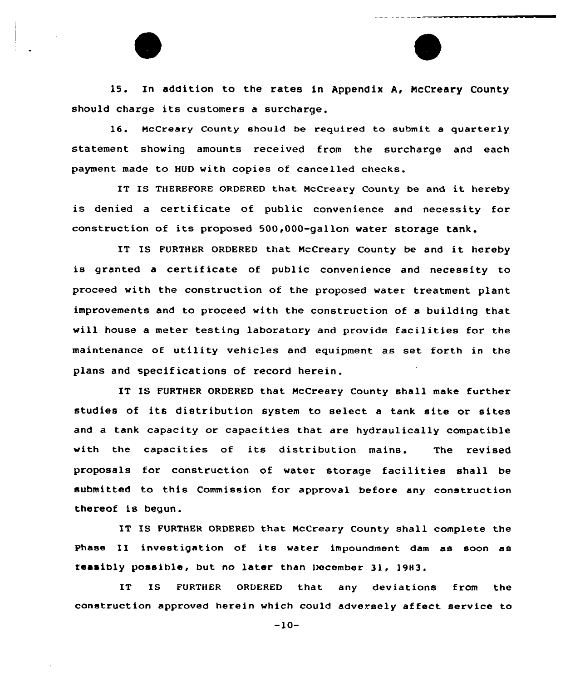15. In addition to the rates in Appendix A, NcCreary County should charge its customers <sup>a</sup> surcharge.

16. McCreary County should be required to submit a quarterly statement showing amounts received from the surcharge and each payment made to HUD with copies of cancelled checks.

IT IS THEREFORE ORDERED that McCreary County be and it hereby is denied a certificate of public convenience and necessity for construction of its proposed 500,000-gallon water storage tank.

IT IS FURTHER ORDERED that McCreary County be and it hereby is granted a certificate of public convenience and necessity to proceed with the construction of the proposed water treatment plant improvements and to proceed with the construction of a building that will house <sup>a</sup> meter testing laboratory and provide facilities for the maintenance of utility vehicles and equipment as set forth in the plans and specifications of record herein.

IT IS FURTHER ORDERED that McCreary County shall make further studies of its distribution system to select a tank site or sites and a tank capacity or capacities that are hydraulically compatible with the capacities of its distribution mains. The revised proposals for construction of water storage facilities shall be submitted to this Commission for approval before any construction thereof is begun.

IT IS FURTHER ORDERED that McCreary County shall complete the phase II investigation of its water impoundment dam as soon as feasibly possible, but no later than December 31, 1983.

IT IS FURTHER ORDERED that any deviations from the construction approved herein which could adversely af feet service to

 $-10-$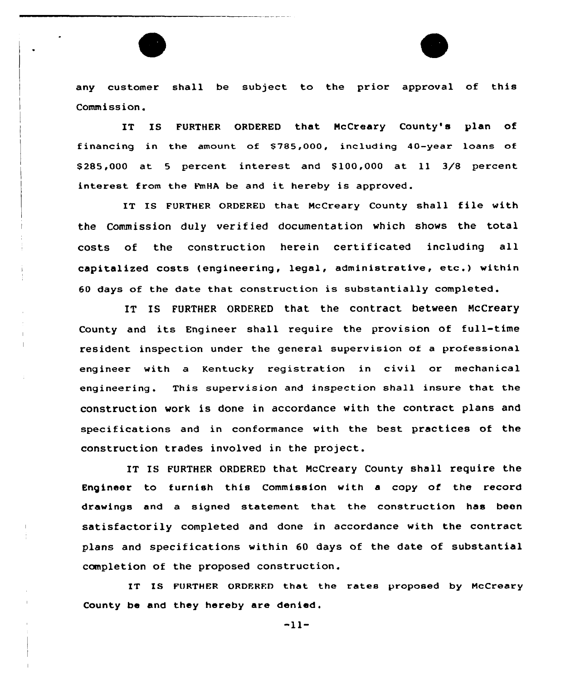any customer shall be subject to the prior approval of this Commission.

IT IS FURTHER ORDERED that NcCreary County's plan of financing in the amount of \$785,000, including 40-year loans of \$ 285,000 at <sup>5</sup> percent interest and \$ 100,000 at ll 3/8 percent interest from the FmHA be and it hereby is approved.

IT IS FURTHER ORDERED that NcCreary County shall file with the Commission duly verified documentation which shows the total costs of the construction herein certificated including all capitalized costs (engineering, legal, administrative, etc.) within 60 days of the date that construction is substantially completed.

IT IS FURTHER ORDERED that the contract between McCreary County and its Engineer shall require the provision of full-time resident inspection under the general supervision of a professional engineer with a Kentucky registration in civil or mechanical engineering. This supervision and inspection shall insure that the construction work is done in accordance with the contract plans and specifications and in conformance with the best practices of the construction trades involved in the project.

IT IS FURTHER ORDERED that NcCreary County shall require the Engineer to furnish this Commission with a copy of the record drawings and a signed statement that the construction has been satisfactorily completed and done in accordance with the contract plans and specifications within 60 days of the date of substantial completion of the proposed construction.

IT IS FURTHER ORDFRFD that the rates proposed by HcCreary County be and they hereby are denied.

-11-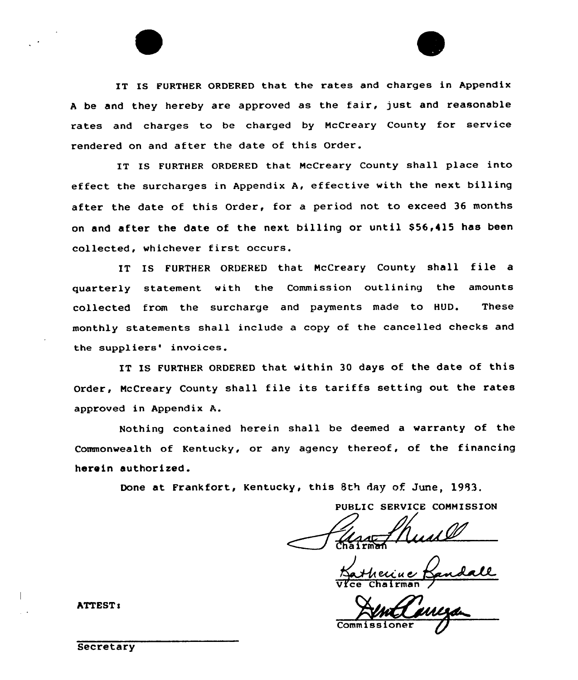IT IS FURTHER ORDERED that the rates and charges in Appendix <sup>A</sup> be and they hereby are approved as the fair, just and reasonable rates and charges to be charged by McCreary County for service rendered on and after the date of this Order.

IT IS FURTHER ORDERED that NcCreary County shall place into effect the surcharges in Appendix A, effective with the next billing after the date of this Order, for a period not to exceed 36 months on and after the date of the next billing or until \$56,415 has been collected, whichever first occurs.

IT IS FURTHER ORDERED that NcCreary County shall file <sup>a</sup> quarterly statement with the Commission outlining the amounts collected from the surcharge and payments made to HUD. These monthly statements shall include a copy of the cancelled checks and the suppliers' invoices.

IT IS FURTHER ORDERED that within 30 days of the date of this Order, NcCreary County shall file its tariffs setting out the rates approved in Appendix A.

Nothing contained herein shall be deemed a warranty of the Commonwealth of Kentucky, or any agency thereof, of the financing herein authorized.

Done at Frankfort, Kentucky, this 8th day of June, 1983.

PUBLIC SERVICE COMMISSION

<u>eriue</u> Vice Chairma

Commissioner

**ATTEST:** 

**Secretary**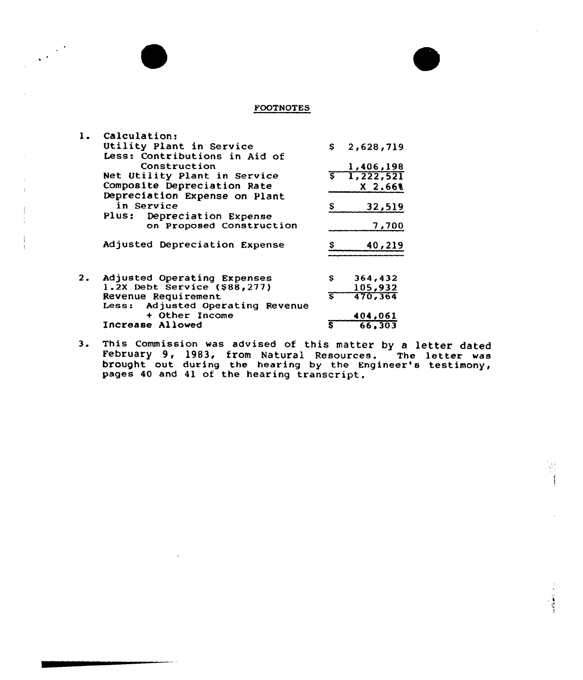## FOOTNOTES

| 1. | Calculation:                     |                         |                   |
|----|----------------------------------|-------------------------|-------------------|
|    | Utility Plant in Service         |                         | \$2,628,719       |
|    | Less: Contributions in Aid of    |                         |                   |
|    | Construction                     |                         | 1,406,198         |
|    | Net Utility Plant in Service     | $\overline{\mathsf{s}}$ | 1,222,521         |
|    | Composite Depreciation Rate      |                         | X <sub>2.66</sub> |
|    | Depreciation Expense on Plant    |                         |                   |
|    | in Service                       |                         |                   |
|    |                                  |                         | 32,519            |
|    | Plus: Depreciation Expense       |                         |                   |
|    | on Proposed Construction         |                         | 7,700             |
|    | Adjusted Depreciation Expense    |                         | 40,219            |
|    |                                  |                         |                   |
|    |                                  |                         |                   |
| 2. | Adjusted Operating Expenses      | S                       | 364,432           |
|    | 1.2X Debt Service (\$88,277)     |                         | 105,932           |
|    | Revenue Requirement              | ङ                       | 470.364           |
|    | Less: Adjusted Operating Revenue |                         |                   |
|    | + Other Income                   |                         | 404,061           |
|    | Increase Allowed                 | S                       | 66.303            |
|    |                                  |                         |                   |

 $\frac{1}{2}$  ,  $\frac{1}{2}$ 

3. This Commission was advised of this matter by a letter date February 9, 1983, from Natural Resources. The letter was brought out during the hearing by the Engineer's testimony, pages 40 and 41 of the hearing transcript

رجان الأفكالين